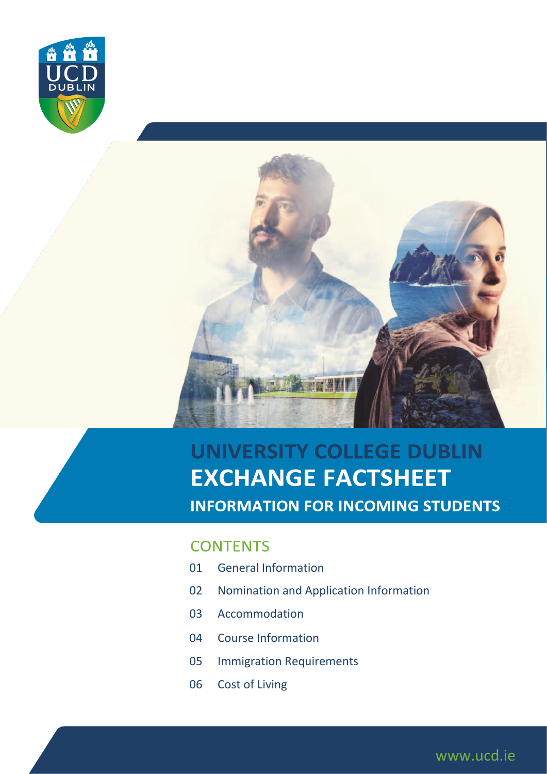



### UNIVERSITY COLLEGE DUBLIN **EXCHANGE FACTSHEET INFORMATION FOR INCOMING STUDENTS**

www.ucd.ie

#### **CONTENTS**

- 01 General Information
- 02 Nomination and Application Information
- 03 Accommodation
- 04 Course Information
- 05 Immigration Requirements
- 06 Cost of Living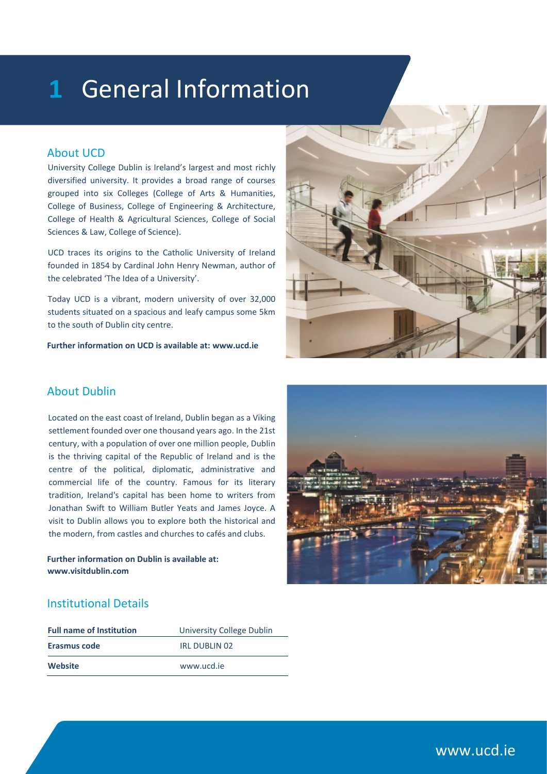### 1 General Information

#### About UCD

University College Dublin is Ireland's largest and most richly diversified university. It provides a broad range of courses grouped into six Colleges (College of Arts & Humanities, College of Business, College of Engineering & Architecture, College of Health & Agricultural Sciences, College of Social Sciences & Law, College of Science).

UCD traces its origins to the Catholic University of Ireland founded in 1854 by Cardinal John Henry Newman, author of the celebrated 'The Idea of a University'.

Today UCD is a vibrant, modern university of over 32,000 students situated on a spacious and leafy campus some 5km to the south of Dublin city centre.

**Further information on UCD is available at: www.ucd.ie**



#### About Dublin

Located on the east coast of Ireland, Dublin began as a Viking settlement founded over one thousand years ago. In the 21st century, with a population of over one million people, Dublin is the thriving capital of the Republic of Ireland and is the centre of the political, diplomatic, administrative and commercial life of the country. Famous for its literary tradition, Ireland's capital has been home to writers from Jonathan Swift to William Butler Yeats and James Joyce. A visit to Dublin allows you to explore both the historical and the modern, from castles and churches to cafés and clubs.

**Further information on Dublin is available at: www.visitdublin.com**



#### Institutional Details

| <b>Full name of Institution</b> | University College Dublin |
|---------------------------------|---------------------------|
| Erasmus code                    | IRL DUBLIN 02             |
| Website                         | www.ucd.ie                |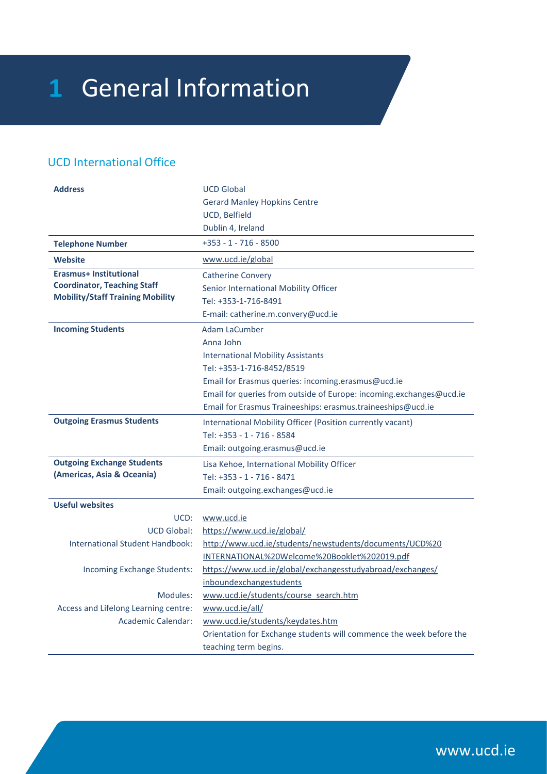# 1 General Information

#### UCD International Office

| <b>Address</b>                          | <b>UCD Global</b>                                                   |
|-----------------------------------------|---------------------------------------------------------------------|
|                                         | <b>Gerard Manley Hopkins Centre</b>                                 |
|                                         | UCD, Belfield                                                       |
|                                         | Dublin 4, Ireland                                                   |
| <b>Telephone Number</b>                 | +353 - 1 - 716 - 8500                                               |
| <b>Website</b>                          | www.ucd.ie/global                                                   |
| <b>Erasmus+ Institutional</b>           | <b>Catherine Convery</b>                                            |
| <b>Coordinator, Teaching Staff</b>      | Senior International Mobility Officer                               |
| <b>Mobility/Staff Training Mobility</b> | Tel: +353-1-716-8491                                                |
|                                         | E-mail: catherine.m.convery@ucd.ie                                  |
| <b>Incoming Students</b>                | Adam LaCumber                                                       |
|                                         | Anna John                                                           |
|                                         | <b>International Mobility Assistants</b>                            |
|                                         | Tel: +353-1-716-8452/8519                                           |
|                                         | Email for Erasmus queries: incoming.erasmus@ucd.ie                  |
|                                         | Email for queries from outside of Europe: incoming.exchanges@ucd.ie |
|                                         | Email for Erasmus Traineeships: erasmus.traineeships@ucd.ie         |
| <b>Outgoing Erasmus Students</b>        | International Mobility Officer (Position currently vacant)          |
|                                         | Tel: +353 - 1 - 716 - 8584                                          |
|                                         | Email: outgoing.erasmus@ucd.ie                                      |
| <b>Outgoing Exchange Students</b>       | Lisa Kehoe, International Mobility Officer                          |
| (Americas, Asia & Oceania)              | Tel: +353 - 1 - 716 - 8471                                          |
|                                         | Email: outgoing.exchanges@ucd.ie                                    |
| <b>Useful websites</b>                  |                                                                     |
| UCD:                                    | www.ucd.ie                                                          |
| <b>UCD Global:</b>                      | https://www.ucd.ie/global/                                          |
| <b>International Student Handbook:</b>  | http://www.ucd.ie/students/newstudents/documents/UCD%20             |
|                                         | INTERNATIONAL%20Welcome%20Booklet%202019.pdf                        |
| Incoming Exchange Students:             | https://www.ucd.ie/global/exchangesstudyabroad/exchanges/           |
|                                         | inboundexchangestudents                                             |
| Modules:                                | www.ucd.ie/students/course_search.htm                               |
| Access and Lifelong Learning centre:    | www.ucd.ie/all/                                                     |
| <b>Academic Calendar:</b>               | www.ucd.ie/students/keydates.htm                                    |
|                                         | Orientation for Exchange students will commence the week before the |
|                                         | teaching term begins.                                               |

www.ucd.ie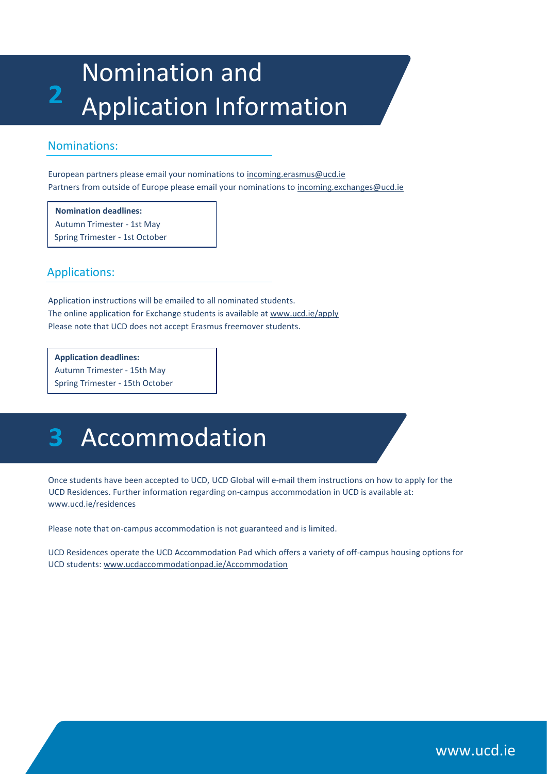### Nomination and  $\overline{2}$ Application Information

#### Nominations:

European partners please email your nominations to incoming.erasmus@ucd.ie Partners from outside of Europe please email your nominations to incoming.exchanges@ucd.ie

**Nomination deadlines:** Autumn Trimester - 1st May Spring Trimester - 1st October

Applications:

Application instructions will be emailed to all nominated students. The online application for Exchange students is available at www.ucd.ie/apply Please note that UCD does not accept Erasmus freemover students.

**Application deadlines:**  Autumn Trimester - 15th May Spring Trimester - 15th October

# Accommodation

Once students have been accepted to UCD, UCD Global will e-mail them instructions on how to apply for the UCD Residences. Further information regarding on-campus accommodation in UCD is available at: www.ucd.ie/residences

Please note that on-campus accommodation is not guaranteed and is limited.

UCD Residences operate the UCD Accommodation Pad which offers a variety of off-campus housing options for UCD students: www.ucdaccommodationpad.ie/Accommodation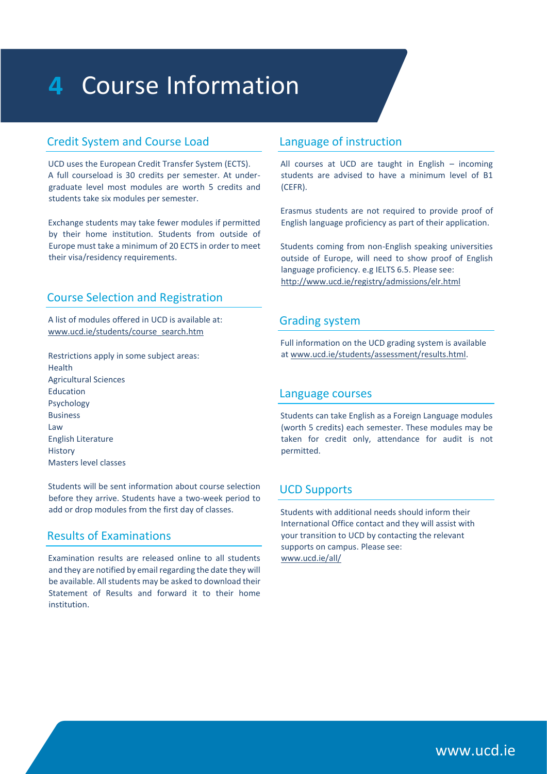## 4 Course Information

#### Credit System and Course Load

UCD uses the European Credit Transfer System (ECTS). A full courseload is 30 credits per semester. At undergraduate level most modules are worth 5 credits and students take six modules per semester.

Exchange students may take fewer modules if permitted by their home institution. Students from outside of Europe must take a minimum of 20 ECTS in order to meet their visa/residency requirements.

#### Course Selection and Registration

A list of modules offered in UCD is available at: www.ucd.ie/students/course\_search.htm

Restrictions apply in some subject areas: Health Agricultural Sciences Education Psychology Business Law English Literature **History** Masters level classes

Students will be sent information about course selection before they arrive. Students have a two-week period to add or drop modules from the first day of classes.

#### Results of Examinations

Examination results are released online to all students and they are notified by email regarding the date they will be available. All students may be asked to download their Statement of Results and forward it to their home institution.

#### Language of instruction

All courses at UCD are taught in English – incoming students are advised to have a minimum level of B1 (CEFR).

Erasmus students are not required to provide proof of English language proficiency as part of their application.

Students coming from non-English speaking universities outside of Europe, will need to show proof of English language proficiency. e.g IELTS 6.5. Please see: http://www.ucd.ie/registry/admissions/elr.html

#### Grading system

Full information on the UCD grading system is available at www.ucd.ie/students/assessment/results.html.

#### Language courses

Students can take English as a Foreign Language modules (worth 5 credits) each semester. These modules may be taken for credit only, attendance for audit is not permitted.

#### UCD Supports

Students with additional needs should inform their International Office contact and they will assist with your transition to UCD by contacting the relevant supports on campus. Please see: www.ucd.ie/all/